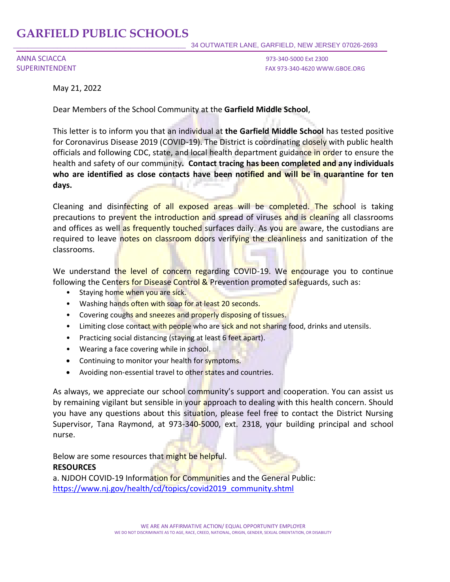## **GARFIELD PUBLIC SCHOOLS**

ANNA SCIACCA 973-340-5000 Ext 2300

SUPERINTENDENT FAX 973-340-4620 WWW.GBOE.ORG

May 21, 2022

Dear Members of the School Community at the **Garfield Middle School**,

This letter is to inform you that an individual at **the Garfield Middle School** has tested positive for Coronavirus Disease 2019 (COVID-19). The District is coordinating closely with public health officials and following CDC, state, and local health department guidance in order to ensure the health and safety of our community**. Contact tracing has been completed and any individuals who are identified as close contacts have been notified and will be in quarantine for ten days.** 

Cleaning and disinfecting of all exposed areas will be completed. The school is taking precautions to prevent the introduction and spread of viruses and is cleaning all classrooms and offices as well as frequently touched surfaces daily. As you are aware, the custodians are required to leave notes on classroom doors verifying the cleanliness and sanitization of the classrooms.

We understand the level of concern regarding COVID-19. We encourage you to continue following the Centers for Disease Control & Prevention promoted safeguards, such as:

- Staying home when you are sick.
- Washing hands often with soap for at least 20 seconds.
- Covering coughs and sneezes and properly disposing of tissues.
- Limiting close contact with people who are sick and not sharing food, drinks and utensils.
- Practicing social distancing (staying at least 6 feet apart).
- Wearing a face covering while in school.
- Continuing to monitor your health for symptoms.
- Avoiding non-essential travel to other states and countries.

As always, we appreciate our school community's support and cooperation. You can assist us by remaining vigilant but sensible in your approach to dealing with this health concern. Should you have any questions about this situation, please feel free to contact the District Nursing Supervisor, Tana Raymond, at 973-340-5000, ext. 2318, your building principal and school nurse.

Below are some resources that might be helpful. **RESOURCES**

a. NJDOH COVID-19 Information for Communities and the General Public: [https://www.nj.gov/health/cd/topics/covid2019\\_community.shtml](https://www.nj.gov/health/cd/topics/covid2019_community.shtml)